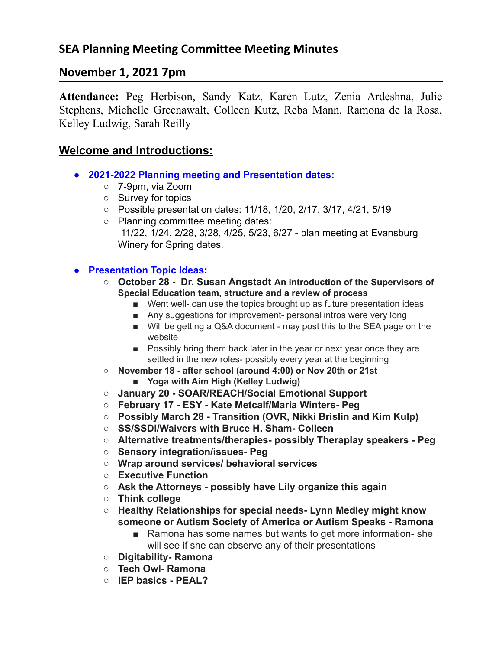# **November 1, 2021 7pm**

**Attendance:** Peg Herbison, Sandy Katz, Karen Lutz, Zenia Ardeshna, Julie Stephens, Michelle Greenawalt, Colleen Kutz, Reba Mann, Ramona de la Rosa, Kelley Ludwig, Sarah Reilly

### **Welcome and Introductions:**

- **● 2021-2022 Planning meeting and Presentation dates:**
	- 7-9pm, via Zoom
	- Survey for topics
	- Possible presentation dates: 11/18, 1/20, 2/17, 3/17, 4/21, 5/19
	- Planning committee meeting dates: 11/22, 1/24, 2/28, 3/28, 4/25, 5/23, 6/27 - plan meeting at Evansburg Winery for Spring dates.

#### **● Presentation Topic Ideas:**

- **○ October 28 Dr. Susan Angstadt An introduction of the Supervisors of Special Education team, structure and a review of process**
	- Went well- can use the topics brought up as future presentation ideas
	- Any suggestions for improvement- personal intros were very long
	- Will be getting a Q&A document may post this to the SEA page on the website
	- Possibly bring them back later in the year or next year once they are settled in the new roles- possibly every year at the beginning
- **○ November 18 - after school (around 4:00) or Nov 20th or 21st**
	- **■ Yoga with Aim High (Kelley Ludwig)**
- **○ January 20 SOAR/REACH/Social Emotional Support**
- **○ February 17 ESY Kate Metcalf/Maria Winters- Peg**
- **○ Possibly March 28 Transition (OVR, Nikki Brislin and Kim Kulp)**
- **○ SS/SSDI/Waivers with Bruce H. Sham- Colleen**
- **○ Alternative treatments/therapies- possibly Theraplay speakers Peg**
- **○ Sensory integration/issues- Peg**
- **○ Wrap around services/ behavioral services**
- **○ Executive Function**
- **○ Ask the Attorneys possibly have Lily organize this again**
- **○ Think college**
- **○ Healthy Relationships for special needs- Lynn Medley might know someone or Autism Society of America or Autism Speaks - Ramona**
	- Ramona has some names but wants to get more information-she will see if she can observe any of their presentations
- **○ Digitability- Ramona**
- **○ Tech Owl- Ramona**
- **○ IEP basics PEAL?**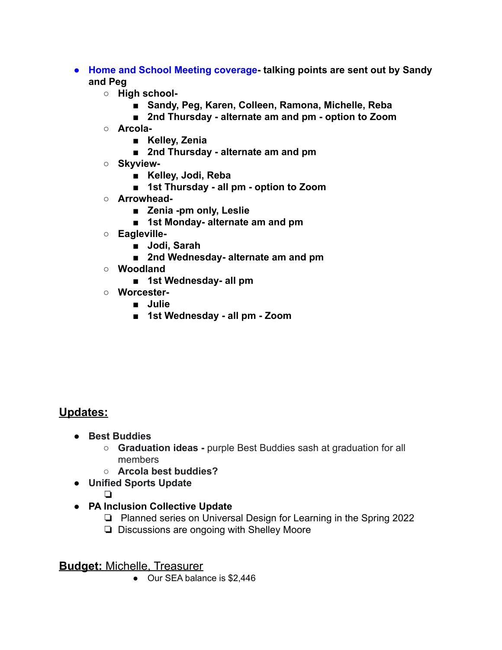- **● Home and School Meeting coverage- talking points are sent out by Sandy and Peg**
	- **○ High school-**
		- **■ Sandy, Peg, Karen, Colleen, Ramona, Michelle, Reba**
		- **■ 2nd Thursday alternate am and pm option to Zoom**
	- **○ Arcola-**
		- **■ Kelley, Zenia**
		- **■ 2nd Thursday alternate am and pm**
	- **○ Skyview-**
		- **■ Kelley, Jodi, Reba**
		- **■ 1st Thursday all pm option to Zoom**
	- **○ Arrowhead-**
		- **■ Zenia -pm only, Leslie**
		- **■ 1st Monday- alternate am and pm**
	- **○ Eagleville-**
		- **■ Jodi, Sarah**
		- **■ 2nd Wednesday- alternate am and pm**
	- **○ Woodland**
		- **■ 1st Wednesday- all pm**
	- **○ Worcester-**
		- **■ Julie**
		- **■ 1st Wednesday all pm Zoom**

## **Updates:**

- **● Best Buddies**
	- **○ Graduation ideas -** purple Best Buddies sash at graduation for all members
	- **○ Arcola best buddies?**
- **● Unified Sports Update**
	- ❏
- **● PA Inclusion Collective Update**
	- ❏ Planned series on Universal Design for Learning in the Spring 2022
	- ❏ Discussions are ongoing with Shelley Moore

#### **Budget:** Michelle, Treasurer

● Our SEA balance is \$2,446